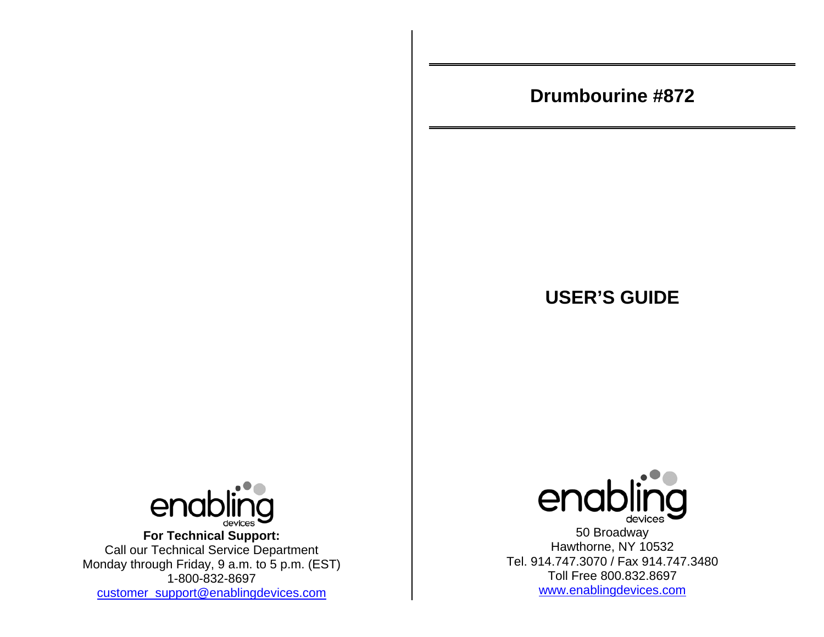# **Drumbourine #872**

# **USER'S GUIDE**



**For Technical Support:**  Call our Technical Service Department Monday through Friday, 9 a.m. to 5 p.m. (EST) 1-800-832-8697 customer\_support@enablingdevices.com